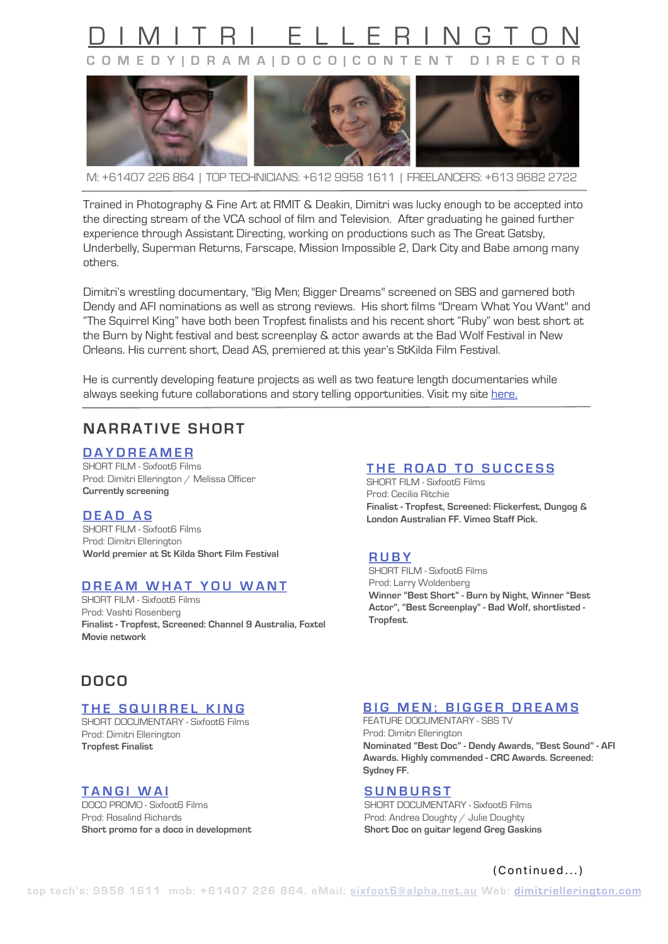# AITRI ELLERING **COMEDY|DRAMA|DOCO|CONTENT DIRECTOR**



M: +61407 226 864 | TOP TECHNICIANS: +612 9958 1611 | FREELANCERS: +613 9682 2722

Trained in Photography & Fine Art at RMIT & Deakin, Dimitri was lucky enough to be accepted into the directing stream of the VCA school of film and Television. After graduating he gained further experience through Assistant Directing, working on productions such as The Great Gatsby, Underbelly, Superman Returns, Farscape, Mission Impossible 2, Dark City and Babe among many others.

Dimitri's wrestling documentary, "Big Men; Bigger Dreams" screened on SBS and garnered both Dendy and AFI nominations as well as strong reviews. His short films "Dream What You Want" and "The Squirrel King" have both been Tropfest finalists and his recent short "Ruby" won best short at the Burn by Night festival and best screenplay & actor awards at the Bad Wolf Festival in New Orleans. His current short, Dead AS, premiered at this year's StKilda Film Festival.

He is currently developing feature projects as well as two feature length documentaries while always seeking future collaborations and story telling opportunities. Visit my site [here.](https://www.dimitriellerington.com)

# **NARRATIVE SHORT**

**[DAYDREAMER](https://www.dimitriellerington.com/daydreamer)**

SHORT FILM - Sixfoot6 Films Prod: Dimitri Ellerington / Melissa Officer **Currently screening**

**[DEAD AS](https://www.dimitriellerington.com/dead-as)** SHORT FILM - Sixfoot6 Films Prod: Dimitri Ellerington **World premier at St Kilda Short Film Festival**

# **[DREAM WHAT YOU WANT](https://www.dimitriellerington.com/dream-what-you-want)**

SHORT FILM - Sixfoot6 Films Prod: Vashti Rosenberg **Finalist - Tropfest, Screened: Channel 9 Australia, Foxtel Movie network**

# **DOCO**

# **[THE SQUIRREL KING](https://www.dimitriellerington.com/the-squirrel-king)**

SHORT DOCUMENTARY - Sixfoot6 Films Prod: Dimitri Ellerington **Tropfest Finalist**

# **[TANGI WAI](https://www.dimitriellerington.com/documentary)**

DOCO PROMO - Sixfoot6 Films Prod: Rosalind Richards **Short promo for a doco in development**

# **[THE ROAD TO SUCCESS](https://www.dimitriellerington.com/the-road-to-success)**

SHORT FILM - Sixfoot6 Films Prod: Cecilia Ritchie **Finalist - Tropfest, Screened: Flickerfest, Dungog & London Australian FF. Vimeo Staff Pick.**

#### **[RUBY](https://www.dimitriellerington.com/ruby)**

SHORT FILM - Sixfoot6 Films Prod: Larry Woldenberg **Winner "Best Short" - Burn by Night, Winner "Best Actor", "Best Screenplay" - Bad Wolf, shortlisted - Tropfest.**

#### **[BIG MEN; BIGGER DREAMS](https://www.dimitriellerington.com/bmbd)**

FEATURE DOCUMENTARY - SBS TV Prod: Dimitri Ellerington **Nominated "Best Doc" - Dendy Awards, "Best Sound" - AFI Awards. Highly commended - CRC Awards. Screened: Sydney FF.**

#### **[SUNBURST](https://www.dimitriellerington.com/sunburst)**

SHORT DOCUMENTARY - Sixfoot6 Films Prod: Andrea Doughty / Julie Doughty **Short Doc on guitar legend Greg Gaskins**

# (Continued...)